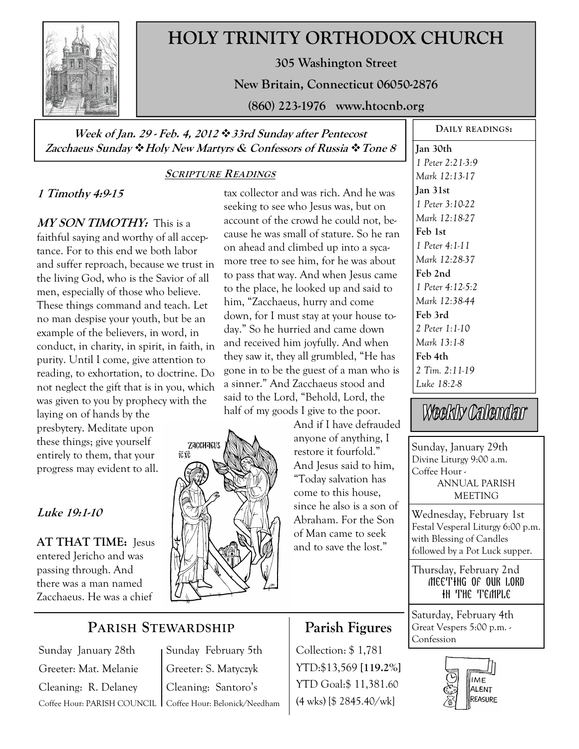

# **HOLY TRINITY ORTHODOX CHURCH**

**305 Washington Street** 

**New Britain, Connecticut 06050-2876** 

**(860) 223-1976 www.htocnb.org** 

### **Week of Jan. 29 - Feb. 4, 2012 33rd Sunday after Pentecost Zacchaeus Sunday Holy New Martyrs & Confessors of Russia Tone 8**

#### **SCRIPTURE READINGS**

# **1 Timothy 4:9-15**

**MY SON TIMOTHY:** This is a faithful saying and worthy of all acceptance. For to this end we both labor and suffer reproach, because we trust in the living God, who is the Savior of all men, especially of those who believe. These things command and teach. Let no man despise your youth, but be an example of the believers, in word, in conduct, in charity, in spirit, in faith, in purity. Until I come, give attention to reading, to exhortation, to doctrine. Do not neglect the gift that is in you, which was given to you by prophecy with the

laying on of hands by the presbytery. Meditate upon these things; give yourself entirely to them, that your progress may evident to all.

## **Luke 19:1-10**

**AT THAT TIME:** Jesus entered Jericho and was passing through. And there was a man named Zacchaeus. He was a chief

#### tax collector and was rich. And he was seeking to see who Jesus was, but on account of the crowd he could not, because he was small of stature. So he ran on ahead and climbed up into a sycamore tree to see him, for he was about to pass that way. And when Jesus came to the place, he looked up and said to him, "Zacchaeus, hurry and come down, for I must stay at your house today." So he hurried and came down and received him joyfully. And when they saw it, they all grumbled, "He has gone in to be the guest of a man who is a sinner." And Zacchaeus stood and said to the Lord, "Behold, Lord, the half of my goods I give to the poor.



And if I have defrauded anyone of anything, I restore it fourfold." And Jesus said to him, "Today salvation has come to this house, since he also is a son of Abraham. For the Son of Man came to seek and to save the lost."

**Jan 30th**  *1 Peter 2:21-3:9 Mark 12:13-17*  **Jan 31st**  *1 Peter 3:10-22 Mark 12:18-27*  **Feb 1st**  *1 Peter 4:1-11 Mark 12:28-37*  **Feb 2nd**  *1 Peter 4:12-5:2 Mark 12:38-44*  **Feb 3rd**  *2 Peter 1:1-10 Mark 13:1-8*  **Feb 4th**  *2 Tim. 2:11-19 Luke 18:2-8* 

**DAILY READINGS:** 

Weekly Calendar

Sunday, January 29th Divine Liturgy 9:00 a.m. Coffee Hour - ANNUAL PARISH MEETING

Wednesday, February 1st Festal Vesperal Liturgy 6:00 p.m. with Blessing of Candles followed by a Pot Luck supper.

Thursday, February 2nd Meeting of our lord IN THE TEMPLE

Saturday, February 4th Great Vespers 5:00 p.m. - Confession



# **PARISH STEWARDSHIP**

**ICXC** 

Sunday January 28th Greeter: Mat. Melanie Cleaning: R. Delaney

Coffee Hour: PARISH COUNCIL Coffee Hour: Belonick/Needham Sunday February 5th Greeter: S. Matyczyk Cleaning: Santoro's

# **Parish Figures**

Collection: \$ 1,781 YTD:\$13,569 **[119.2%]** YTD Goal:\$ 11,381.60 (4 wks) [\$ 2845.40/wk]